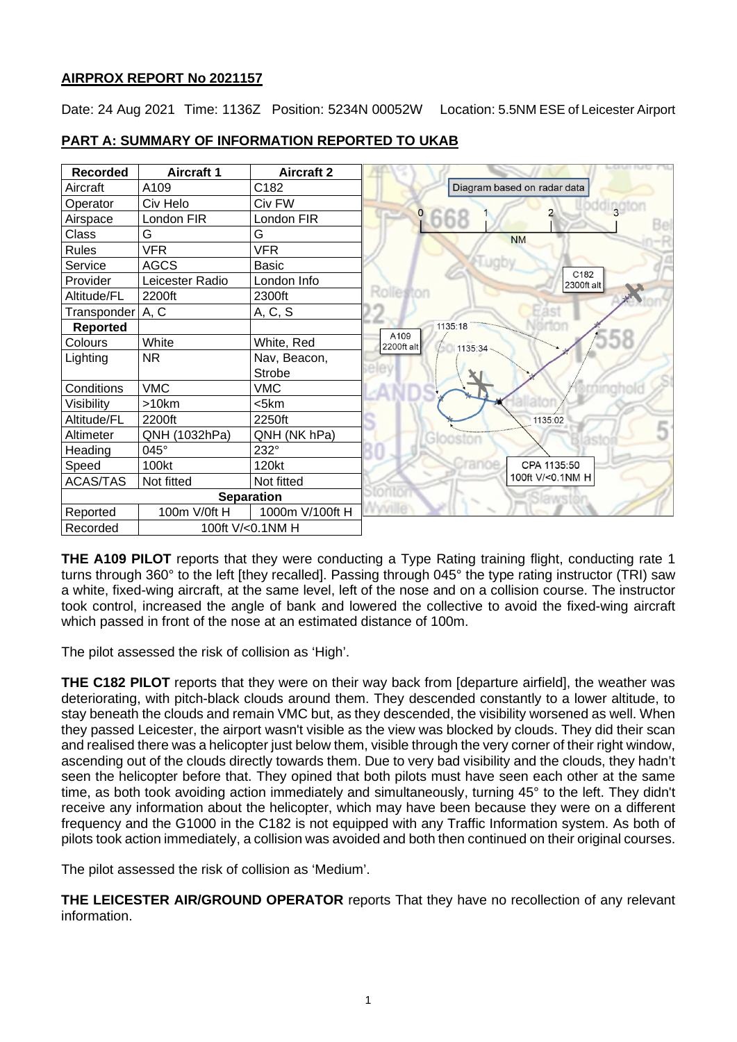## **AIRPROX REPORT No 2021157**

Date: 24 Aug 2021 Time: 1136Z Position: 5234N 00052W Location: 5.5NM ESE of Leicester Airport

| <b>Recorded</b>              | <b>Aircraft 1</b> | <b>Aircraft 2</b> |                                 |
|------------------------------|-------------------|-------------------|---------------------------------|
| Aircraft                     | A109              | C182              | Diagram based on radar data     |
| Operator                     | Civ Helo          | Civ FW            | adington                        |
| Airspace                     | London FIR        | London FIR        | <b>9668</b>                     |
| Class                        | G                 | G                 | <b>NM</b>                       |
| <b>Rules</b>                 | <b>VFR</b>        | <b>VFR</b>        |                                 |
| Service                      | <b>AGCS</b>       | <b>Basic</b>      |                                 |
| Provider                     | Leicester Radio   | London Info       | C182<br>2300ft alt              |
| Altitude/FL                  | 2200ft            | 2300ft            | Rolleston                       |
| Transponder A, C             |                   | A, C, S           |                                 |
| <b>Reported</b>              |                   |                   | 1135:18                         |
| Colours                      | White             | White, Red        | A109<br>2200ft alt<br>1135:34 - |
| Lighting                     | <b>NR</b>         | Nav, Beacon,      |                                 |
|                              |                   | Strobe            |                                 |
| Conditions                   | <b>VMC</b>        | <b>VMC</b>        |                                 |
| Visibility                   | >10km             | $<$ 5 $km$        |                                 |
| Altitude/FL                  | 2200ft            | 2250ft            | 1135:02                         |
| Altimeter                    | QNH (1032hPa)     | QNH (NK hPa)      |                                 |
| Heading                      | 045°              | 232°              |                                 |
| Speed                        | 100kt             | 120kt             | cranoe<br>CPA 1135:50           |
| <b>ACAS/TAS</b>              | Not fitted        | Not fitted        | 100ft V/<0.1NM H                |
| <b>Separation</b>            |                   |                   |                                 |
| Reported                     | 100m V/0ft H      | 1000m V/100ft H   |                                 |
| 100ft V/<0.1NM H<br>Recorded |                   |                   |                                 |

## **PART A: SUMMARY OF INFORMATION REPORTED TO UKAB**

**THE A109 PILOT** reports that they were conducting a Type Rating training flight, conducting rate 1 turns through 360° to the left [they recalled]. Passing through 045° the type rating instructor (TRI) saw a white, fixed-wing aircraft, at the same level, left of the nose and on a collision course. The instructor took control, increased the angle of bank and lowered the collective to avoid the fixed-wing aircraft which passed in front of the nose at an estimated distance of 100m.

The pilot assessed the risk of collision as 'High'.

**THE C182 PILOT** reports that they were on their way back from [departure airfield], the weather was deteriorating, with pitch-black clouds around them. They descended constantly to a lower altitude, to stay beneath the clouds and remain VMC but, as they descended, the visibility worsened as well. When they passed Leicester, the airport wasn't visible as the view was blocked by clouds. They did their scan and realised there was a helicopter just below them, visible through the very corner of their right window, ascending out of the clouds directly towards them. Due to very bad visibility and the clouds, they hadn't seen the helicopter before that. They opined that both pilots must have seen each other at the same time, as both took avoiding action immediately and simultaneously, turning 45° to the left. They didn't receive any information about the helicopter, which may have been because they were on a different frequency and the G1000 in the C182 is not equipped with any Traffic Information system. As both of pilots took action immediately, a collision was avoided and both then continued on their original courses.

The pilot assessed the risk of collision as 'Medium'.

**THE LEICESTER AIR/GROUND OPERATOR** reports That they have no recollection of any relevant information.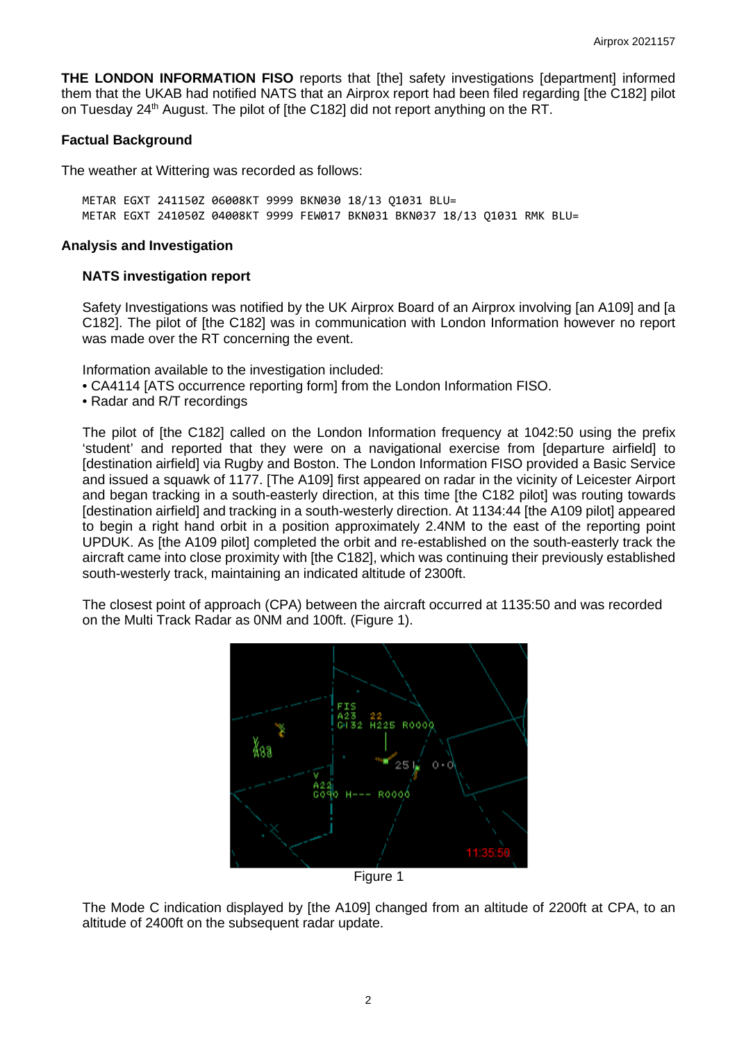**THE LONDON INFORMATION FISO** reports that [the] safety investigations [department] informed them that the UKAB had notified NATS that an Airprox report had been filed regarding [the C182] pilot on Tuesday 24<sup>th</sup> August. The pilot of [the C182] did not report anything on the RT.

## **Factual Background**

The weather at Wittering was recorded as follows:

METAR EGXT 241150Z 06008KT 9999 BKN030 18/13 Q1031 BLU= METAR EGXT 241050Z 04008KT 9999 FEW017 BKN031 BKN037 18/13 Q1031 RMK BLU=

### **Analysis and Investigation**

#### **NATS investigation report**

Safety Investigations was notified by the UK Airprox Board of an Airprox involving [an A109] and [a C182]. The pilot of [the C182] was in communication with London Information however no report was made over the RT concerning the event.

Information available to the investigation included:

- CA4114 [ATS occurrence reporting form] from the London Information FISO.
- Radar and R/T recordings

The pilot of [the C182] called on the London Information frequency at 1042:50 using the prefix 'student' and reported that they were on a navigational exercise from [departure airfield] to [destination airfield] via Rugby and Boston. The London Information FISO provided a Basic Service and issued a squawk of 1177. [The A109] first appeared on radar in the vicinity of Leicester Airport and began tracking in a south-easterly direction, at this time [the C182 pilot] was routing towards [destination airfield] and tracking in a south-westerly direction. At 1134:44 [the A109 pilot] appeared to begin a right hand orbit in a position approximately 2.4NM to the east of the reporting point UPDUK. As [the A109 pilot] completed the orbit and re-established on the south-easterly track the aircraft came into close proximity with [the C182], which was continuing their previously established south-westerly track, maintaining an indicated altitude of 2300ft.

The closest point of approach (CPA) between the aircraft occurred at 1135:50 and was recorded on the Multi Track Radar as 0NM and 100ft. (Figure 1).



Figure 1

The Mode C indication displayed by [the A109] changed from an altitude of 2200ft at CPA, to an altitude of 2400ft on the subsequent radar update.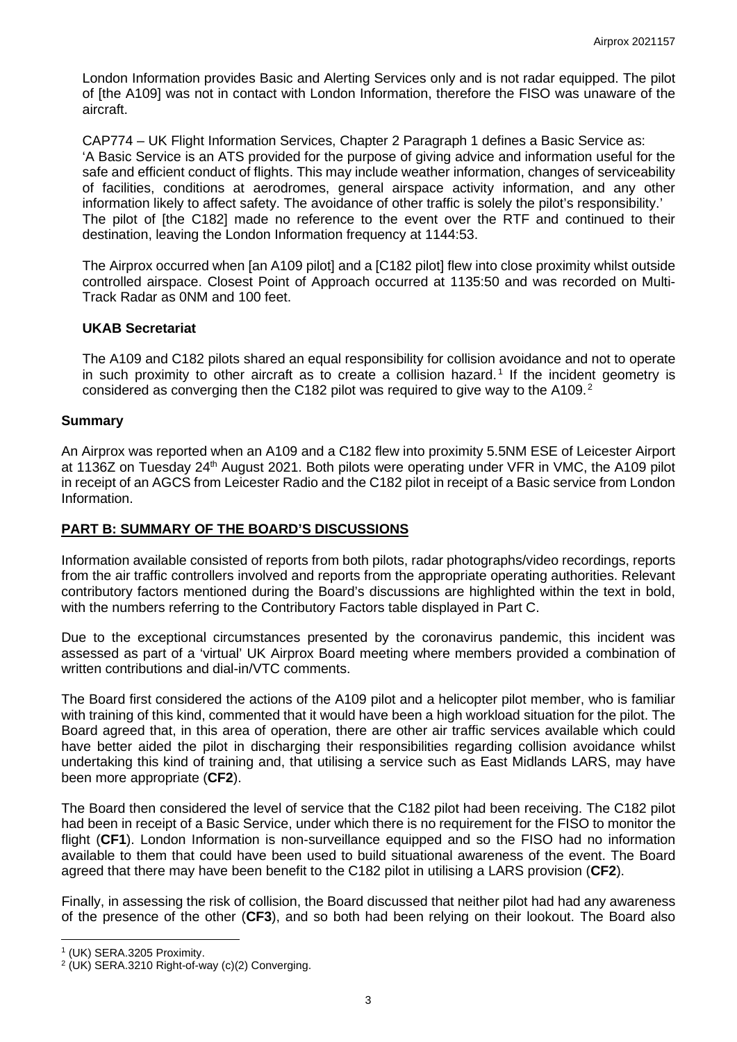London Information provides Basic and Alerting Services only and is not radar equipped. The pilot of [the A109] was not in contact with London Information, therefore the FISO was unaware of the aircraft.

CAP774 – UK Flight Information Services, Chapter 2 Paragraph 1 defines a Basic Service as: 'A Basic Service is an ATS provided for the purpose of giving advice and information useful for the safe and efficient conduct of flights. This may include weather information, changes of serviceability of facilities, conditions at aerodromes, general airspace activity information, and any other information likely to affect safety. The avoidance of other traffic is solely the pilot's responsibility.' The pilot of [the C182] made no reference to the event over the RTF and continued to their destination, leaving the London Information frequency at 1144:53.

The Airprox occurred when [an A109 pilot] and a [C182 pilot] flew into close proximity whilst outside controlled airspace. Closest Point of Approach occurred at 1135:50 and was recorded on Multi-Track Radar as 0NM and 100 feet.

### **UKAB Secretariat**

The A109 and C182 pilots shared an equal responsibility for collision avoidance and not to operate in such proximity to other aircraft as to create a collision hazard. [1](#page-2-0) If the incident geometry is considered as converging then the C18[2](#page-2-1) pilot was required to give way to the A109.<sup>2</sup>

### **Summary**

An Airprox was reported when an A109 and a C182 flew into proximity 5.5NM ESE of Leicester Airport at 1136Z on Tuesday 24<sup>th</sup> August 2021. Both pilots were operating under VFR in VMC, the A109 pilot in receipt of an AGCS from Leicester Radio and the C182 pilot in receipt of a Basic service from London Information.

# **PART B: SUMMARY OF THE BOARD'S DISCUSSIONS**

Information available consisted of reports from both pilots, radar photographs/video recordings, reports from the air traffic controllers involved and reports from the appropriate operating authorities. Relevant contributory factors mentioned during the Board's discussions are highlighted within the text in bold, with the numbers referring to the Contributory Factors table displayed in Part C.

Due to the exceptional circumstances presented by the coronavirus pandemic, this incident was assessed as part of a 'virtual' UK Airprox Board meeting where members provided a combination of written contributions and dial-in/VTC comments.

The Board first considered the actions of the A109 pilot and a helicopter pilot member, who is familiar with training of this kind, commented that it would have been a high workload situation for the pilot. The Board agreed that, in this area of operation, there are other air traffic services available which could have better aided the pilot in discharging their responsibilities regarding collision avoidance whilst undertaking this kind of training and, that utilising a service such as East Midlands LARS, may have been more appropriate (**CF2**).

The Board then considered the level of service that the C182 pilot had been receiving. The C182 pilot had been in receipt of a Basic Service, under which there is no requirement for the FISO to monitor the flight (**CF1**). London Information is non-surveillance equipped and so the FISO had no information available to them that could have been used to build situational awareness of the event. The Board agreed that there may have been benefit to the C182 pilot in utilising a LARS provision (**CF2**).

Finally, in assessing the risk of collision, the Board discussed that neither pilot had had any awareness of the presence of the other (**CF3**), and so both had been relying on their lookout. The Board also

<span id="page-2-0"></span><sup>1</sup> (UK) SERA.3205 Proximity.

<span id="page-2-1"></span><sup>2</sup> (UK) SERA.3210 Right-of-way (c)(2) Converging.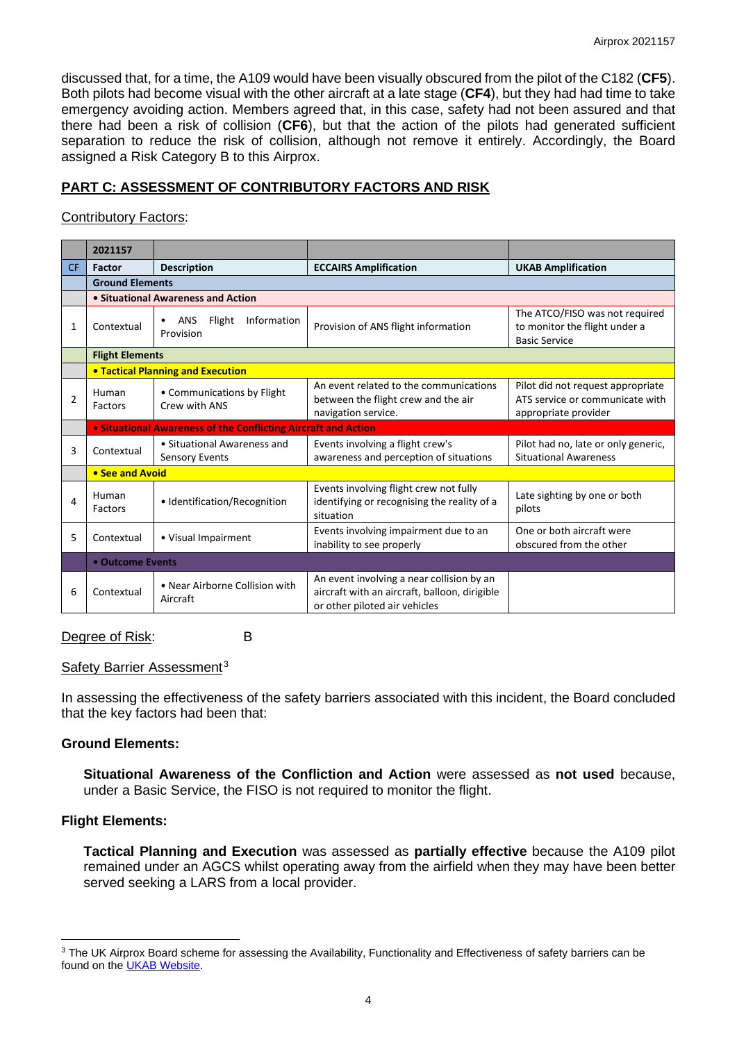discussed that, for a time, the A109 would have been visually obscured from the pilot of the C182 (**CF5**). Both pilots had become visual with the other aircraft at a late stage (**CF4**), but they had had time to take emergency avoiding action. Members agreed that, in this case, safety had not been assured and that there had been a risk of collision (**CF6**), but that the action of the pilots had generated sufficient separation to reduce the risk of collision, although not remove it entirely. Accordingly, the Board assigned a Risk Category B to this Airprox.

# **PART C: ASSESSMENT OF CONTRIBUTORY FACTORS AND RISK**

## Contributory Factors:

|                | 2021157                |                                                                |                                                                                                                             |                                                                                              |  |  |  |  |  |  |  |
|----------------|------------------------|----------------------------------------------------------------|-----------------------------------------------------------------------------------------------------------------------------|----------------------------------------------------------------------------------------------|--|--|--|--|--|--|--|
| <b>CF</b>      | Factor                 | <b>Description</b>                                             | <b>ECCAIRS Amplification</b>                                                                                                | <b>UKAB Amplification</b>                                                                    |  |  |  |  |  |  |  |
|                | <b>Ground Elements</b> |                                                                |                                                                                                                             |                                                                                              |  |  |  |  |  |  |  |
|                |                        | • Situational Awareness and Action                             |                                                                                                                             |                                                                                              |  |  |  |  |  |  |  |
| 1              | Contextual             | Flight<br>Information<br><b>ANS</b><br>Provision               | Provision of ANS flight information                                                                                         | The ATCO/FISO was not required<br>to monitor the flight under a<br><b>Basic Service</b>      |  |  |  |  |  |  |  |
|                | <b>Flight Elements</b> |                                                                |                                                                                                                             |                                                                                              |  |  |  |  |  |  |  |
|                |                        | <b>. Tactical Planning and Execution</b>                       |                                                                                                                             |                                                                                              |  |  |  |  |  |  |  |
| $\overline{2}$ | Human<br>Factors       | • Communications by Flight<br>Crew with ANS                    | An event related to the communications<br>between the flight crew and the air<br>navigation service.                        | Pilot did not request appropriate<br>ATS service or communicate with<br>appropriate provider |  |  |  |  |  |  |  |
|                |                        | • Situational Awareness of the Conflicting Aircraft and Action |                                                                                                                             |                                                                                              |  |  |  |  |  |  |  |
| 3              | Contextual             | • Situational Awareness and<br><b>Sensory Events</b>           | Events involving a flight crew's<br>awareness and perception of situations                                                  | Pilot had no, late or only generic,<br><b>Situational Awareness</b>                          |  |  |  |  |  |  |  |
|                | • See and Avoid        |                                                                |                                                                                                                             |                                                                                              |  |  |  |  |  |  |  |
| 4              | Human<br>Factors       | • Identification/Recognition                                   | Events involving flight crew not fully<br>identifying or recognising the reality of a<br>situation                          | Late sighting by one or both<br>pilots                                                       |  |  |  |  |  |  |  |
| 5              | Contextual             | • Visual Impairment                                            | Events involving impairment due to an<br>inability to see properly                                                          | One or both aircraft were<br>obscured from the other                                         |  |  |  |  |  |  |  |
|                | • Outcome Events       |                                                                |                                                                                                                             |                                                                                              |  |  |  |  |  |  |  |
| 6              | Contextual             | • Near Airborne Collision with<br>Aircraft                     | An event involving a near collision by an<br>aircraft with an aircraft, balloon, dirigible<br>or other piloted air vehicles |                                                                                              |  |  |  |  |  |  |  |

### Degree of Risk: B

# Safety Barrier Assessment<sup>[3](#page-3-0)</sup>

In assessing the effectiveness of the safety barriers associated with this incident, the Board concluded that the key factors had been that:

### **Ground Elements:**

**Situational Awareness of the Confliction and Action** were assessed as **not used** because, under a Basic Service, the FISO is not required to monitor the flight.

# **Flight Elements:**

**Tactical Planning and Execution** was assessed as **partially effective** because the A109 pilot remained under an AGCS whilst operating away from the airfield when they may have been better served seeking a LARS from a local provider.

<span id="page-3-0"></span><sup>&</sup>lt;sup>3</sup> The UK Airprox Board scheme for assessing the Availability, Functionality and Effectiveness of safety barriers can be found on the [UKAB Website.](http://www.airproxboard.org.uk/Learn-more/Airprox-Barrier-Assessment/)